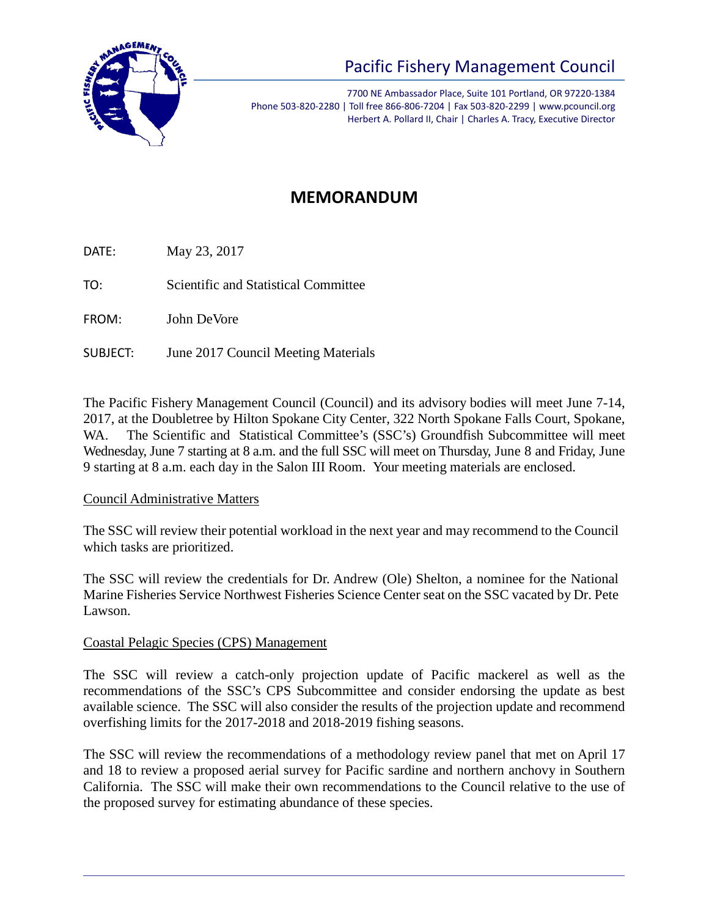

# Pacific Fishery Management Council

7700 NE Ambassador Place, Suite 101 Portland, OR 97220-1384 Phone 503-820-2280 | Toll free 866-806-7204 | Fax 503-820-2299 | www.pcouncil.org Herbert A. Pollard II, Chair | Charles A. Tracy, Executive Director

# **MEMORANDUM**

DATE: May 23, 2017

TO: Scientific and Statistical Committee

FROM: John DeVore

SUBJECT: June 2017 Council Meeting Materials

The Pacific Fishery Management Council (Council) and its advisory bodies will meet June 7-14, 2017, at the Doubletree by Hilton Spokane City Center, 322 North Spokane Falls Court, Spokane, WA. The Scientific and Statistical Committee's (SSC's) Groundfish Subcommittee will meet Wednesday, June 7 starting at 8 a.m. and the full SSC will meet on Thursday, June 8 and Friday, June 9 starting at 8 a.m. each day in the Salon III Room. Your meeting materials are enclosed.

#### Council Administrative Matters

The SSC will review their potential workload in the next year and may recommend to the Council which tasks are prioritized.

The SSC will review the credentials for Dr. Andrew (Ole) Shelton, a nominee for the National Marine Fisheries Service Northwest Fisheries Science Center seat on the SSC vacated by Dr. Pete Lawson.

# Coastal Pelagic Species (CPS) Management

The SSC will review a catch-only projection update of Pacific mackerel as well as the recommendations of the SSC's CPS Subcommittee and consider endorsing the update as best available science. The SSC will also consider the results of the projection update and recommend overfishing limits for the 2017-2018 and 2018-2019 fishing seasons.

The SSC will review the recommendations of a methodology review panel that met on April 17 and 18 to review a proposed aerial survey for Pacific sardine and northern anchovy in Southern California. The SSC will make their own recommendations to the Council relative to the use of the proposed survey for estimating abundance of these species.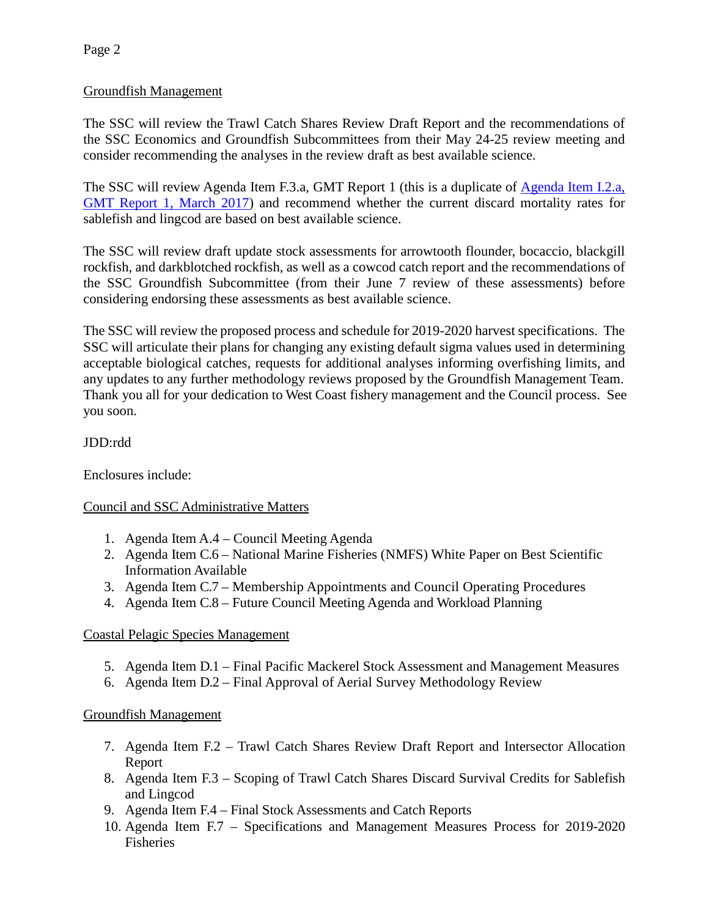# Groundfish Management

The SSC will review the Trawl Catch Shares Review Draft Report and the recommendations of the SSC Economics and Groundfish Subcommittees from their May 24-25 review meeting and consider recommending the analyses in the review draft as best available science.

The SSC will review Agenda Item F.3.a, GMT Report 1 (this is a duplicate of [Agenda Item I.2.a,](http://www.pcouncil.org/wp-content/uploads/2017/02/I2a_GMT_Rpt1_DiscardMortality_Mar2017BB.pdf)  [GMT Report 1, March 2017\)](http://www.pcouncil.org/wp-content/uploads/2017/02/I2a_GMT_Rpt1_DiscardMortality_Mar2017BB.pdf) and recommend whether the current discard mortality rates for sablefish and lingcod are based on best available science.

The SSC will review draft update stock assessments for arrowtooth flounder, bocaccio, blackgill rockfish, and darkblotched rockfish, as well as a cowcod catch report and the recommendations of the SSC Groundfish Subcommittee (from their June 7 review of these assessments) before considering endorsing these assessments as best available science.

The SSC will review the proposed process and schedule for 2019-2020 harvest specifications. The SSC will articulate their plans for changing any existing default sigma values used in determining acceptable biological catches, requests for additional analyses informing overfishing limits, and any updates to any further methodology reviews proposed by the Groundfish Management Team. Thank you all for your dedication to West Coast fishery management and the Council process. See you soon.

# JDD:rdd

Enclosures include:

# Council and SSC Administrative Matters

- 1. Agenda Item A.4 Council Meeting Agenda
- 2. Agenda Item C.6 National Marine Fisheries (NMFS) White Paper on Best Scientific Information Available
- 3. Agenda Item C.7 Membership Appointments and Council Operating Procedures
- 4. Agenda Item C.8 Future Council Meeting Agenda and Workload Planning

# Coastal Pelagic Species Management

- 5. Agenda Item D.1 Final Pacific Mackerel Stock Assessment and Management Measures
- 6. Agenda Item D.2 Final Approval of Aerial Survey Methodology Review

# Groundfish Management

- 7. Agenda Item F.2 Trawl Catch Shares Review Draft Report and Intersector Allocation Report
- 8. Agenda Item F.3 Scoping of Trawl Catch Shares Discard Survival Credits for Sablefish and Lingcod
- 9. Agenda Item F.4 Final Stock Assessments and Catch Reports
- 10. Agenda Item F.7 Specifications and Management Measures Process for 2019-2020 Fisheries